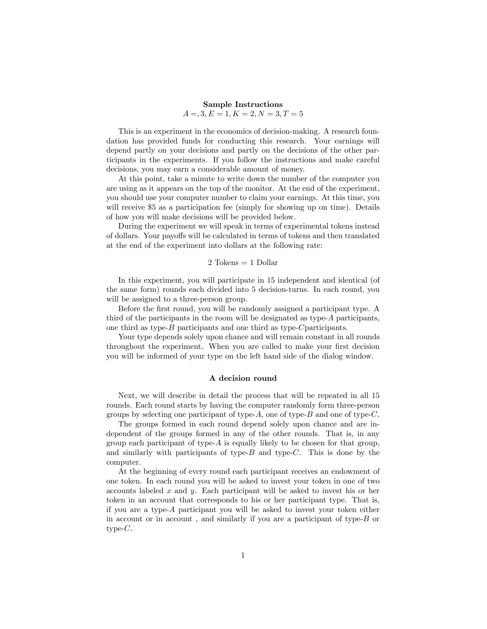# Sample Instructions  $A = 3, E = 1, K = 2, N = 3, T = 5$

This is an experiment in the economics of decision-making. A research foundation has provided funds for conducting this research. Your earnings will depend partly on your decisions and partly on the decisions of the other participants in the experiments. If you follow the instructions and make careful decisions, you may earn a considerable amount of money.

At this point, take a minute to write down the number of the computer you are using as it appears on the top of the monitor. At the end of the experiment, you should use your computer number to claim your earnings. At this time, you will receive \$5 as a participation fee (simply for showing up on time). Details of how you will make decisions will be provided below.

During the experiment we will speak in terms of experimental tokens instead of dollars. Your payoffs will be calculated in terms of tokens and then translated at the end of the experiment into dollars at the following rate:

### $2$  Tokens  $= 1$  Dollar

In this experiment, you will participate in 15 independent and identical (of the same form) rounds each divided into 5 decision-turns. In each round, you will be assigned to a three-person group.

Before the first round, you will be randomly assigned a participant type. A third of the participants in the room will be designated as type-A participants, one third as type- $B$  participants and one third as type- $C$ participants.

Your type depends solely upon chance and will remain constant in all rounds throughout the experiment. When you are called to make your first decision you will be informed of your type on the left hand side of the dialog window.

#### A decision round

Next, we will describe in detail the process that will be repeated in all 15 rounds. Each round starts by having the computer randomly form three-person groups by selecting one participant of type- $A$ , one of type- $B$  and one of type- $C$ .

The groups formed in each round depend solely upon chance and are independent of the groups formed in any of the other rounds. That is, in any group each participant of type- $A$  is equally likely to be chosen for that group, and similarly with participants of type- $B$  and type- $C$ . This is done by the computer.

At the beginning of every round each participant receives an endowment of one token. In each round you will be asked to invest your token in one of two accounts labeled x and y. Each participant will be asked to invest his or her token in an account that corresponds to his or her participant type. That is, if you are a type-A participant you will be asked to invest your token either in account or in account , and similarly if you are a participant of type-B or type- $C$ .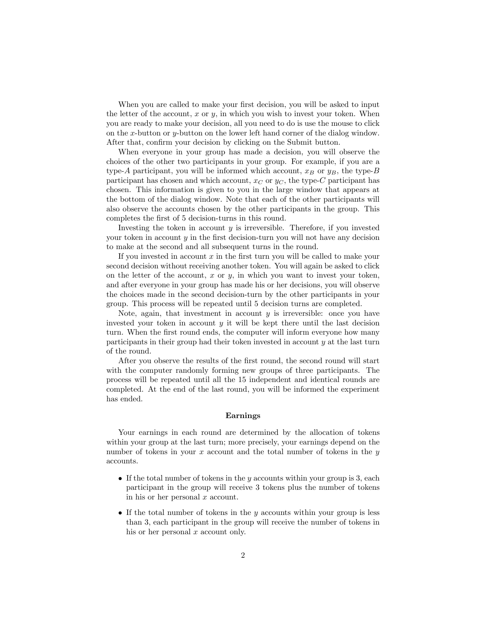When you are called to make your first decision, you will be asked to input the letter of the account,  $x$  or  $y$ , in which you wish to invest your token. When you are ready to make your decision, all you need to do is use the mouse to click on the x-button or y-button on the lower left hand corner of the dialog window. After that, confirm your decision by clicking on the Submit button.

When everyone in your group has made a decision, you will observe the choices of the other two participants in your group. For example, if you are a type-A participant, you will be informed which account,  $x_B$  or  $y_B$ , the type-B participant has chosen and which account,  $x_C$  or  $y_C$ , the type-C participant has chosen. This information is given to you in the large window that appears at the bottom of the dialog window. Note that each of the other participants will also observe the accounts chosen by the other participants in the group. This completes the first of 5 decision-turns in this round.

Investing the token in account  $y$  is irreversible. Therefore, if you invested your token in account  $y$  in the first decision-turn you will not have any decision to make at the second and all subsequent turns in the round.

If you invested in account  $x$  in the first turn you will be called to make your second decision without receiving another token. You will again be asked to click on the letter of the account,  $x$  or  $y$ , in which you want to invest your token, and after everyone in your group has made his or her decisions, you will observe the choices made in the second decision-turn by the other participants in your group. This process will be repeated until 5 decision turns are completed.

Note, again, that investment in account  $y$  is irreversible: once you have invested your token in account  $y$  it will be kept there until the last decision turn. When the first round ends, the computer will inform everyone how many participants in their group had their token invested in account  $y$  at the last turn of the round.

After you observe the results of the first round, the second round will start with the computer randomly forming new groups of three participants. The process will be repeated until all the 15 independent and identical rounds are completed. At the end of the last round, you will be informed the experiment has ended.

### Earnings

Your earnings in each round are determined by the allocation of tokens within your group at the last turn; more precisely, your earnings depend on the number of tokens in your x account and the total number of tokens in the  $y$ accounts.

- If the total number of tokens in the y accounts within your group is 3, each participant in the group will receive 3 tokens plus the number of tokens in his or her personal  $x$  account.
- If the total number of tokens in the  $y$  accounts within your group is less than 3, each participant in the group will receive the number of tokens in his or her personal  $x$  account only.